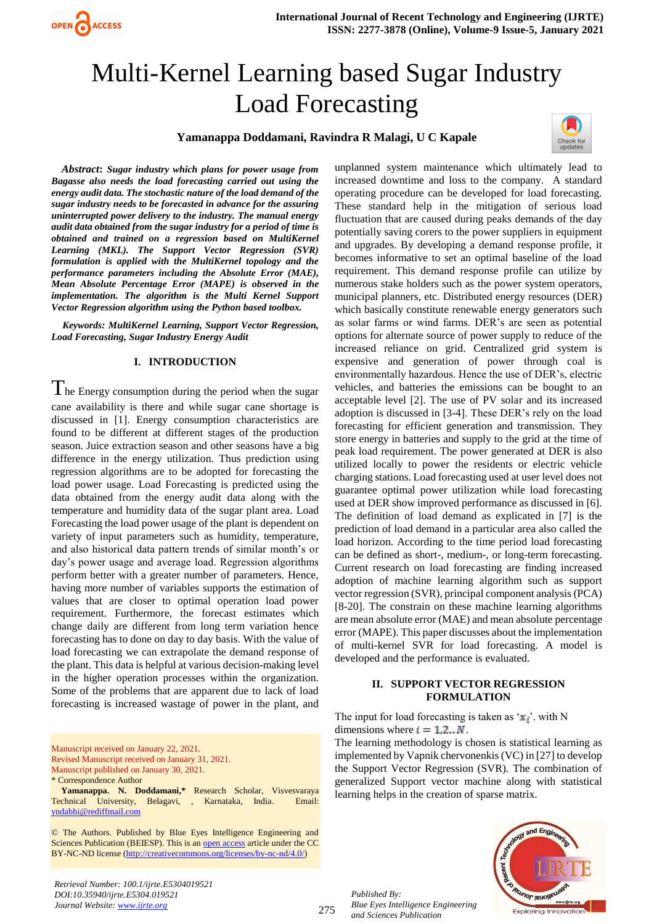

# Multi-Kernel Learning based Sugar Industry Load Forecasting

## **Yamanappa Doddamani, Ravindra R Malagi, U C Kapale**



*Abstract***:** *Sugar industry which plans for power usage from Bagasse also needs the load forecasting carried out using the energy audit data. The stochastic nature of the load demand of the sugar industry needs to be forecasted in advance for the assuring uninterrupted power delivery to the industry. The manual energy audit data obtained from the sugar industry for a period of time is obtained and trained on a regression based on MultiKernel Learning (MKL). The Support Vector Regression (SVR) formulation is applied with the MultiKernel topology and the performance parameters including the Absolute Error (MAE), Mean Absolute Percentage Error (MAPE) is observed in the implementation. The algorithm is the Multi Kernel Support Vector Regression algorithm using the Python based toolbox.*

*Keywords: MultiKernel Learning, Support Vector Regression, Load Forecasting, Sugar Industry Energy Audit*

#### **I. INTRODUCTION**

 $\Gamma$  he Energy consumption during the period when the sugar cane availability is there and while sugar cane shortage is discussed in [1]. Energy consumption characteristics are found to be different at different stages of the production season. Juice extraction season and other seasons have a big difference in the energy utilization. Thus prediction using regression algorithms are to be adopted for forecasting the load power usage. Load Forecasting is predicted using the data obtained from the energy audit data along with the temperature and humidity data of the sugar plant area. Load Forecasting the load power usage of the plant is dependent on variety of input parameters such as humidity, temperature, and also historical data pattern trends of similar month's or day's power usage and average load. Regression algorithms perform better with a greater number of parameters. Hence, having more number of variables supports the estimation of values that are closer to optimal operation load power requirement. Furthermore, the forecast estimates which change daily are different from long term variation hence forecasting has to done on day to day basis. With the value of load forecasting we can extrapolate the demand response of the plant. This data is helpful at various decision-making level in the higher operation processes within the organization. Some of the problems that are apparent due to lack of load forecasting is increased wastage of power in the plant, and

Manuscript received on January 22, 2021. Revised Manuscript received on January 31, 2021. Manuscript published on January 30, 2021.

\* Correspondence Author

**Yamanappa. N. Doddamani,\*** Research Scholar, Visvesvaraya Technical University, Belagavi, , Karnataka, India. Email: [yndabhi@rediffmail.com](mailto:yndabhi@rediffmail.com)

© The Authors. Published by Blue Eyes Intelligence Engineering and Sciences Publication (BEIESP). This is an [open access](https://www.openaccess.nl/en/open-publications) article under the CC BY-NC-ND license [\(http://creativecommons.org/licenses/by-nc-nd/4.0/\)](http://creativecommons.org/licenses/by-nc-nd/4.0/)

*Retrieval Number: 100.1/ijrte.E5304019521 DOI:10.35940/ijrte.E5304.019521 Journal Website: www.ijrte.org*

unplanned system maintenance which ultimately lead to increased downtime and loss to the company. A standard operating procedure can be developed for load forecasting. These standard help in the mitigation of serious load fluctuation that are caused during peaks demands of the day potentially saving corers to the power suppliers in equipment and upgrades. By developing a demand response profile, it becomes informative to set an optimal baseline of the load requirement. This demand response profile can utilize by numerous stake holders such as the power system operators, municipal planners, etc. Distributed energy resources (DER) which basically constitute renewable energy generators such as solar farms or wind farms. DER's are seen as potential options for alternate source of power supply to reduce of the increased reliance on grid. Centralized grid system is expensive and generation of power through coal is environmentally hazardous. Hence the use of DER's, electric vehicles, and batteries the emissions can be bought to an acceptable level [2]. The use of PV solar and its increased adoption is discussed in [3-4]. These DER's rely on the load forecasting for efficient generation and transmission. They store energy in batteries and supply to the grid at the time of peak load requirement. The power generated at DER is also utilized locally to power the residents or electric vehicle charging stations. Load forecasting used at user level does not guarantee optimal power utilization while load forecasting used at DER show improved performance as discussed in [6]. The definition of load demand as explicated in [7] is the prediction of load demand in a particular area also called the load horizon. According to the time period load forecasting can be defined as short-, medium-, or long-term forecasting. Current research on load forecasting are finding increased adoption of machine learning algorithm such as support vector regression (SVR), principal component analysis (PCA) [8-20]. The constrain on these machine learning algorithms are mean absolute error (MAE) and mean absolute percentage error (MAPE). This paper discusses about the implementation of multi-kernel SVR for load forecasting. A model is developed and the performance is evaluated.

## **II. SUPPORT VECTOR REGRESSION FORMULATION**

The input for load forecasting is taken as ' $x_i$ '. with N dimensions where  $i = 1, 2, ..., N$ .

The learning methodology is chosen is statistical learning as implemented by Vapnik chervonenkis (VC) in [27] to develop the Support Vector Regression (SVR). The combination of generalized Support vector machine along with statistical learning helps in the creation of sparse matrix.



*Published By: Blue Eyes Intelligence Engineering and Sciences Publication*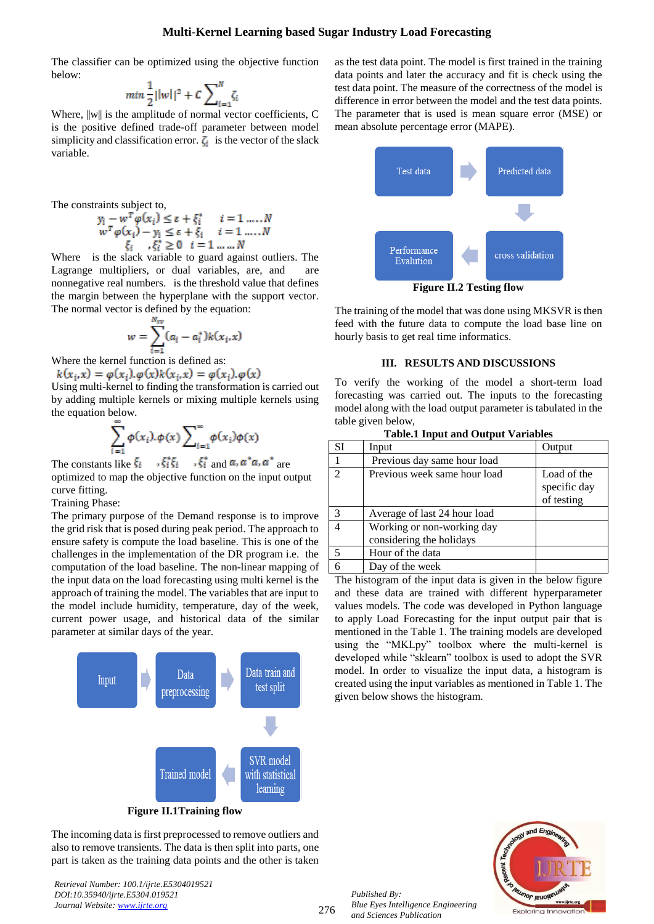## **Multi-Kernel Learning based Sugar Industry Load Forecasting**

The classifier can be optimized using the objective function below:

$$
min\frac{1}{2}||w||^2 + C\sum_{i=1}^N \zeta_i
$$

Where,  $\|w\|$  is the amplitude of normal vector coefficients, C is the positive defined trade-off parameter between model simplicity and classification error.  $\zeta_i$  is the vector of the slack variable.

The constraints subject to,

$$
\begin{aligned} y_i - w^T \varphi(x_i) &\le \varepsilon + \xi_i^* \qquad i = 1 \dots N \\ w^T \varphi(x_i) - y_i &\le \varepsilon + \xi_i \qquad i = 1 \dots N \\ \xi_i \qquad, \xi_i^* &\ge 0 \quad i = 1 \dots N \end{aligned}
$$

Where is the slack variable to guard against outliers. The Lagrange multipliers, or dual variables, are, and nonnegative real numbers. is the threshold value that defines the margin between the hyperplane with the support vector. The normal vector is defined by the equation:

$$
w = \sum_{i=1}^{N_{SV}} (a_i - a_i^*) k(x_i, x)
$$

Where the kernel function is defined as:

 $k(x_i, x) = \varphi(x_i), \varphi(x)k(x_i, x) = \varphi(x_i), \varphi(x)$ 

Using multi-kernel to finding the transformation is carried out by adding multiple kernels or mixing multiple kernels using the equation below.

$$
\sum_{i=1}^{n} \phi(x_i) \phi(x) \sum_{i=1}^{n} \phi(x_i) \phi(x)
$$

The constants like  $\xi_i$ ,  $\xi_i^* \xi_i$ ,  $\xi_i^*$  and  $\alpha, \alpha^* \alpha, \alpha^*$  are optimized to map the objective function on the input output curve fitting.

Training Phase:

The primary purpose of the Demand response is to improve the grid risk that is posed during peak period. The approach to ensure safety is compute the load baseline. This is one of the challenges in the implementation of the DR program i.e. the computation of the load baseline. The non-linear mapping of the input data on the load forecasting using multi kernel is the approach of training the model. The variables that are input to the model include humidity, temperature, day of the week, current power usage, and historical data of the similar parameter at similar days of the year.



The incoming data is first preprocessed to remove outliers and also to remove transients. The data is then split into parts, one part is taken as the training data points and the other is taken

*Retrieval Number: 100.1/ijrte.E5304019521 DOI:10.35940/ijrte.E5304.019521 Journal Website: www.ijrte.org*

as the test data point. The model is first trained in the training data points and later the accuracy and fit is check using the test data point. The measure of the correctness of the model is difference in error between the model and the test data points. The parameter that is used is mean square error (MSE) or mean absolute percentage error (MAPE).



The training of the model that was done using MKSVR is then feed with the future data to compute the load base line on hourly basis to get real time informatics.

#### **III. RESULTS AND DISCUSSIONS**

To verify the working of the model a short-term load forecasting was carried out. The inputs to the forecasting model along with the load output parameter is tabulated in the table given below,

| rabica mpat and Output variables |                                                        |                             |  |
|----------------------------------|--------------------------------------------------------|-----------------------------|--|
| SI                               | Input                                                  | Output                      |  |
|                                  | Previous day same hour load                            |                             |  |
| $\mathcal{L}$                    | Previous week same hour load                           | Load of the<br>specific day |  |
|                                  |                                                        | of testing                  |  |
| 3                                | Average of last 24 hour load                           |                             |  |
|                                  | Working or non-working day<br>considering the holidays |                             |  |
| 5                                | Hour of the data                                       |                             |  |
|                                  | Day of the week                                        |                             |  |

| <b>Table.1 Input and Output Variables</b> |  |  |
|-------------------------------------------|--|--|
|-------------------------------------------|--|--|

The histogram of the input data is given in the below figure and these data are trained with different hyperparameter values models. The code was developed in Python language to apply Load Forecasting for the input output pair that is mentioned in the Table 1. The training models are developed using the "MKLpy" toolbox where the multi-kernel is developed while "sklearn" toolbox is used to adopt the SVR model. In order to visualize the input data, a histogram is created using the input variables as mentioned in Table 1. The given below shows the histogram.



*Published By: Blue Eyes Intelligence Engineering and Sciences Publication*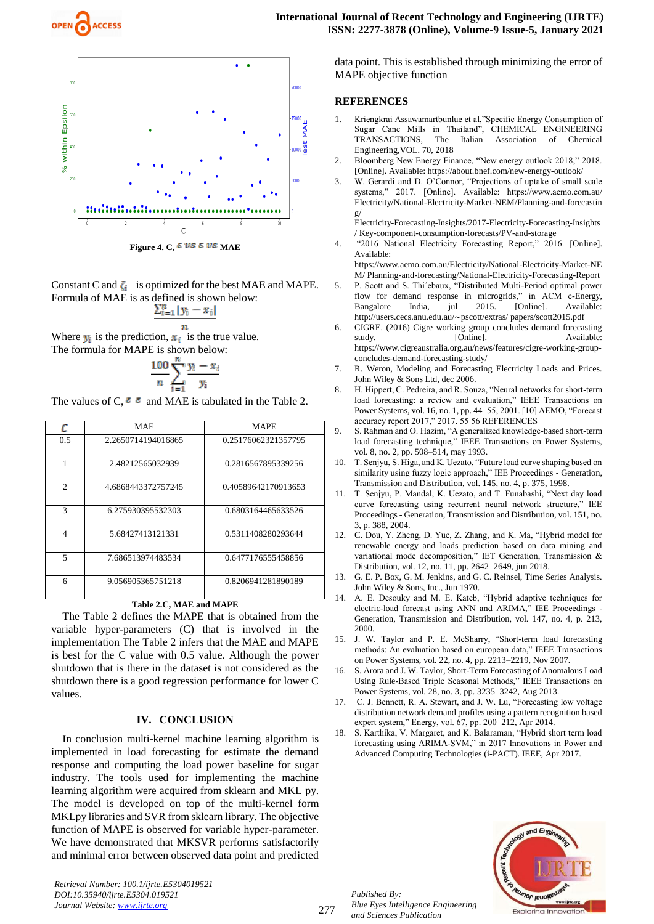



**Figure 4. C,**  $\epsilon$  **vs**  $\epsilon$  **vs**  $MAE$ 

Constant C and  $\zeta_i$  is optimized for the best MAE and MAPE. Formula of MAE is as defined is shown below:

$$
\sum_{i=1}^n |y_i - x_i|
$$

Where  $y_i$  is the prediction,  $x_i$  is the true value. The formula for MAPE is shown below:

$$
\frac{100}{n}\sum_{i=1}^n\frac{y_i-x_i}{y_i}
$$

The values of C,  $\epsilon \epsilon$  and MAE is tabulated in the Table 2.

|                | <b>MAE</b>         | <b>MAPE</b>         |
|----------------|--------------------|---------------------|
| 0.5            | 2.2650714194016865 | 0.25176062321357795 |
| 1              | 2.48212565032939   | 0.2816567895339256  |
| $\overline{c}$ | 4.6868443372757245 | 0.40589642170913653 |
| 3              | 6.275930395532303  | 0.6803164465633526  |
| 4              | 5.68427413121331   | 0.5311408280293644  |
| 5              | 7.686513974483534  | 0.6477176555458856  |
| 6              | 9.056905365751218  | 0.8206941281890189  |

#### **Table 2.C, MAE and MAPE**

 The Table 2 defines the MAPE that is obtained from the variable hyper-parameters (C) that is involved in the implementation The Table 2 infers that the MAE and MAPE is best for the C value with 0.5 value. Although the power shutdown that is there in the dataset is not considered as the shutdown there is a good regression performance for lower C values.

#### **IV. CONCLUSION**

In conclusion multi-kernel machine learning algorithm is implemented in load forecasting for estimate the demand response and computing the load power baseline for sugar industry. The tools used for implementing the machine learning algorithm were acquired from sklearn and MKL py. The model is developed on top of the multi-kernel form MKLpy libraries and SVR from sklearn library. The objective function of MAPE is observed for variable hyper-parameter. We have demonstrated that MKSVR performs satisfactorily and minimal error between observed data point and predicted

*Retrieval Number: 100.1/ijrte.E5304019521 DOI:10.35940/ijrte.E5304.019521 Journal Website: www.ijrte.org*

data point. This is established through minimizing the error of MAPE objective function

#### **REFERENCES**

- 1. Kriengkrai Assawamartbunlue et al,"Specific Energy Consumption of Sugar Cane Mills in Thailand", CHEMICAL ENGINEERING TRANSACTIONS, The Italian Association of Chemical Engineering,VOL. 70, 2018
- 2. Bloomberg New Energy Finance, "New energy outlook 2018," 2018. [Online]. Available: https://about.bnef.com/new-energy-outlook/
- 3. W. Gerardi and D. O'Connor, "Projections of uptake of small scale systems," 2017. [Online]. Available: https://www.aemo.com.au/ Electricity/National-Electricity-Market-NEM/Planning-and-forecastin g/

Electricity-Forecasting-Insights/2017-Electricity-Forecasting-Insights / Key-component-consumption-forecasts/PV-and-storage

- 4. "2016 National Electricity Forecasting Report," 2016. [Online]. Available:
- https://www.aemo.com.au/Electricity/National-Electricity-Market-NE M/ Planning-and-forecasting/National-Electricity-Forecasting-Report
- 5. P. Scott and S. Thi´ebaux, "Distributed Multi-Period optimal power flow for demand response in microgrids," in ACM e-Energy, Bangalore India, jul 2015. [Online]. Available: http://users.cecs.anu.edu.au/∼pscott/extras/ papers/scott2015.pdf
- 6. CIGRE. (2016) Cigre working group concludes demand forecasting study. [Online]. Available: https://www.cigreaustralia.org.au/news/features/cigre-working-groupconcludes-demand-forecasting-study/
- 7. R. Weron, Modeling and Forecasting Electricity Loads and Prices. John Wiley & Sons Ltd, dec 2006.
- 8. H. Hippert, C. Pedreira, and R. Souza, "Neural networks for short-term load forecasting: a review and evaluation," IEEE Transactions on Power Systems, vol. 16, no. 1, pp. 44–55, 2001. [10] AEMO, "Forecast accuracy report 2017," 2017. 55 56 REFERENCES
- 9. S. Rahman and O. Hazim, "A generalized knowledge-based short-term load forecasting technique," IEEE Transactions on Power Systems, vol. 8, no. 2, pp. 508–514, may 1993.
- 10. T. Senjyu, S. Higa, and K. Uezato, "Future load curve shaping based on similarity using fuzzy logic approach," IEE Proceedings - Generation, Transmission and Distribution, vol. 145, no. 4, p. 375, 1998.
- 11. T. Senjyu, P. Mandal, K. Uezato, and T. Funabashi, "Next day load curve forecasting using recurrent neural network structure," IEE Proceedings - Generation, Transmission and Distribution, vol. 151, no. 3, p. 388, 2004.
- 12. C. Dou, Y. Zheng, D. Yue, Z. Zhang, and K. Ma, "Hybrid model for renewable energy and loads prediction based on data mining and variational mode decomposition," IET Generation, Transmission & Distribution, vol. 12, no. 11, pp. 2642–2649, jun 2018.
- 13. G. E. P. Box, G. M. Jenkins, and G. C. Reinsel, Time Series Analysis. John Wiley & Sons, Inc., Jun 1970.
- 14. A. E. Desouky and M. E. Kateb, "Hybrid adaptive techniques for electric-load forecast using ANN and ARIMA," IEE Proceedings - Generation, Transmission and Distribution, vol. 147, no. 4, p. 213, 2000.
- 15. J. W. Taylor and P. E. McSharry, "Short-term load forecasting methods: An evaluation based on european data," IEEE Transactions on Power Systems, vol. 22, no. 4, pp. 2213–2219, Nov 2007.
- 16. S. Arora and J. W. Taylor, Short-Term Forecasting of Anomalous Load Using Rule-Based Triple Seasonal Methods," IEEE Transactions on Power Systems, vol. 28, no. 3, pp. 3235–3242, Aug 2013.
- 17. C. J. Bennett, R. A. Stewart, and J. W. Lu, "Forecasting low voltage distribution network demand profiles using a pattern recognition based expert system," Energy, vol. 67, pp. 200–212, Apr 2014.
- 18. S. Karthika, V. Margaret, and K. Balaraman, "Hybrid short term load forecasting using ARIMA-SVM," in 2017 Innovations in Power and Advanced Computing Technologies (i-PACT). IEEE, Apr 2017.



277